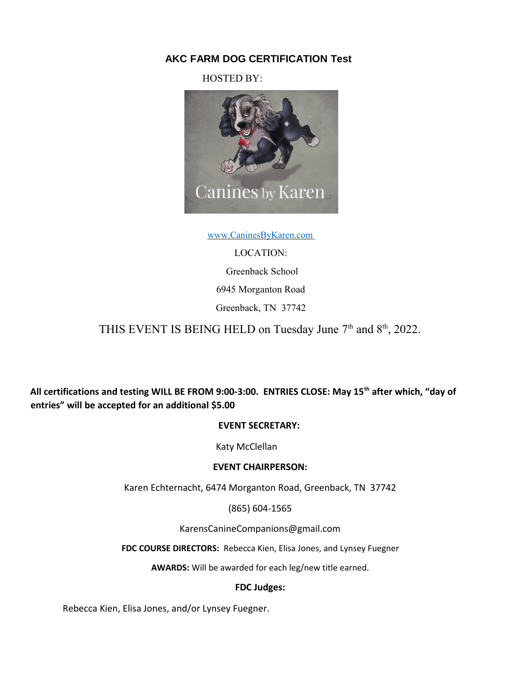# **AKC FARM DOG CERTIFICATION Test**

HOSTED BY:



 [www.CaninesByKaren.com](http://www.caninesbykaren.com/)

LOCATION: Greenback School 6945 Morganton Road Greenback, TN 37742

THIS EVENT IS BEING HELD on Tuesday June 7<sup>th</sup> and 8<sup>th</sup>, 2022.

**All certifications and testing WILL BE FROM 9:00-3:00. ENTRIES CLOSE: May 15th after which, "day of entries" will be accepted for an additional \$5.00** 

## **EVENT SECRETARY:**

Katy McClellan

## **EVENT CHAIRPERSON:**

Karen Echternacht, 6474 Morganton Road, Greenback, TN 37742

(865) 604-1565

KarensCanineCompanions@gmail.com

**FDC COURSE DIRECTORS:** Rebecca Kien, Elisa Jones, and Lynsey Fuegner

**AWARDS:** Will be awarded for each leg/new title earned.

## **FDC Judges:**

Rebecca Kien, Elisa Jones, and/or Lynsey Fuegner.